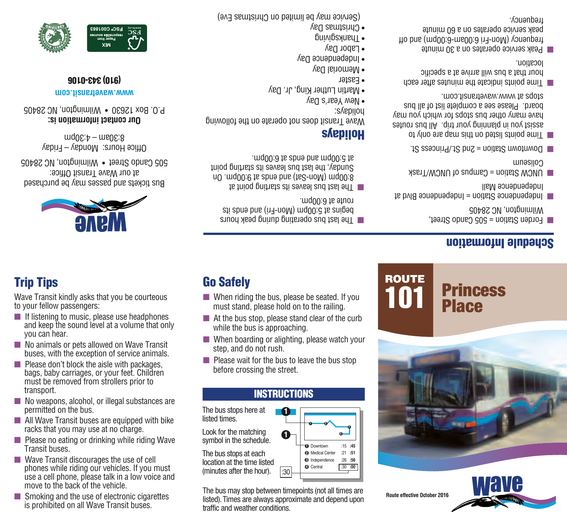**Route effective October 2016**

ROUTE





## Schedule Information

- Forden Station = 505 Cando Street, Wilmington, NC 28405
- $I$ g p $\Lambda$ g andependence  $\Lambda$ inde $\Lambda$ en  $\Lambda$ Independence Mall
- $\blacksquare$  UNCM/Trask of UNCW/Trask Collagem
- Downtown Station = 2nd St./Princess St. ■
- Time but his map are this map are on  $\lambda$ assist you in planning your trip. All bus routes have many other bus stops for which you may board. Please see a complete list of all bus stops at www.wavetransit.com.
- Time points indicate the minutes after each hour that a bus will arrive at a specific location.
- **PEAK SETVICE OPETATES ON a 30 minute** frequency (Mon-Fri 6:00am-6:00 pm end off peak service operates on a 60 minute frequency.



Bus tickets and passes may be purchased at our Wave Transit Office: 505 Cando Street • Wilmington, NC 28405 Office Hours: Monday – Friday  $mod 6$ :30 $-$  4:30pm

Wave Transit kindly asks that you be courteous

■ If listening to music, please use headphones and keep the sound level at a volume that only

■ No animals or pets allowed on Wave Transit buses, with the exception of service animals. ■ Please don't block the aisle with packages, bags, baby carriages, or your feet. Children must be removed from strollers prior to

■ No weapons, alcohol, or illegal substances are

■ All Wave Transit buses are equipped with bike racks that you may use at no charge. ■ Please no eating or drinking while riding Wave

phones while riding our vehicles. If you must use a cell phone, please talk in a low voice and

■ Smoking and the use of electronic cigarettes is prohibited on all Wave Transit buses.

■ Wave Transit discourages the use of cell

move to the back of the vehicle.

Trip Tips

to your fellow passengers:

you can hear.

transport.

Transit buses.

permitted on the bus.

The last pnd built built bus on a set of the solid peak sum of the sum of the sum of the sum of the sum of the sum of the sum of the sum of the sum of the sum of the sum of the sum of the sum of the sum of the sum of the begins at 5:00pm (Mon-Fri) and ends its  $r$  route at  $6:00$ 

 $\blacksquare$  When riding the bus, please be seated. If you must stand, please hold on to the railing.  $\blacksquare$  At the bus stop, please stand clear of the curb

■ When boarding or alighting, please watch your

 $\blacksquare$  Please wait for the bus to leave the bus stop

INSTRUCTIONS

**1**

**1**

The bus may stop between timepoints (not all times are listed). Times are always approximate and depend upon

:30

**D** Downtown Medical Center **2 3** Independence **9** Central

**1 2**

**:45** :15 **:51** :21 **:56** :26 **:00** :30

**3**

while the bus is approaching.

step, and do not rush.

The bus stops here at

Look for the matching symbol in the schedule. The bus stops at each location at the time listed (minutes after the hour).

traffic and weather conditions.

listed times.

before crossing the street.

Go Safely

The last bus leaves its starting point at  $\blacksquare$  $\alpha$  un and  $\alpha$  is spue pue (1eg-uom) und  $\alpha$ :8 Sunday, the last bus leaves its starting point  $\cdot$  and  $0$ :0 is spue pue mq $0$ : c is

## **SAepiloH**

Wave I ransit does not operate on the following holidays:

- $\bullet$  Mew Year's Day
- Martin Luther King, Jr. Day
- 
- Easter
- Memorial Day
- Independence Day
- $\bullet$  Labor Day
- I hanking shine
- $\epsilon$  Christmas Day

(Service may be limited on Christmas Eve)



## **www.wavetransit.com** (910) 343-0106

**Our contact information is:** P.O. Box 12630 • Wilmington, NC 28405